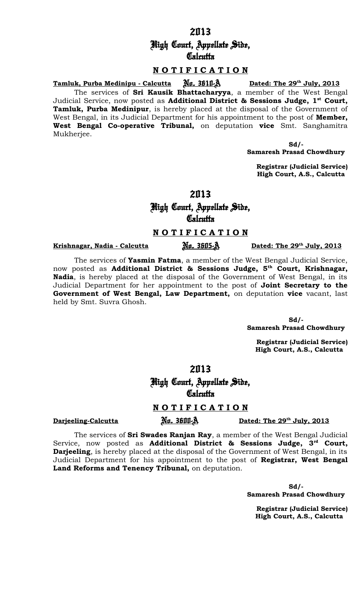2013 High Court, Appellate Side, **Calcutta** 

### **N O T I F I C A T I O N**

**Tamluk, Purba Medinipu - Calcutta** Nu. 3610-A Dated: The 29<sup>th</sup> July, 2013 The services of **Sri Kausik Bhattacharyya**, a member of the West Bengal Judicial Service, now posted as **Additional District & Sessions Judge, 1st Court, Tamluk, Purba Medinipur**, is hereby placed at the disposal of the Government of West Bengal, in its Judicial Department for his appointment to the post of **Member, West Bengal Co-operative Tribunal,** on deputation **vice** Smt. Sanghamitra Mukherjee.

> **Sd/- Samaresh Prasad Chowdhury**

 **Registrar (Judicial Service) High Court, A.S., Calcutta**

2013

High Court, Appellate Side,

**Calcutta** 

# **N O T I F I C A T I O N**

**Krishnagar, Nadia - Calcutta**  $\overrightarrow{M}$ *n.* 3605- $\overrightarrow{A}$ 

The services of **Yasmin Fatma**, a member of the West Bengal Judicial Service, now posted as **Additional District & Sessions Judge, 5th Court, Krishnagar, Nadia**, is hereby placed at the disposal of the Government of West Bengal, in its Judicial Department for her appointment to the post of **Joint Secretary to the Government of West Bengal, Law Department,** on deputation **vice** vacant, last held by Smt. Suvra Ghosh.

> **Sd/- Samaresh Prasad Chowdhury**

Dated: The 29<sup>th</sup> July, 2013

**Registrar (Judicial Service) High Court, A.S., Calcutta**

2013

High Court, Appellate Side, **Calcutta** 

# **N O T I F I C A T I O N**

**Darjeeling-Calcutta**  $\overline{\mathbf{M}}$ *n.* 3600-A

Dated: The 29<sup>th</sup> July, 2013

The services of **Sri Swades Ranjan Ray**, a member of the West Bengal Judicial Service, now posted as **Additional District & Sessions Judge, 3rd Court, Darjeeling**, is hereby placed at the disposal of the Government of West Bengal, in its Judicial Department for his appointment to the post of **Registrar, West Bengal Land Reforms and Tenency Tribunal,** on deputation.

> **Sd/- Samaresh Prasad Chowdhury**

 **Registrar (Judicial Service) High Court, A.S., Calcutta**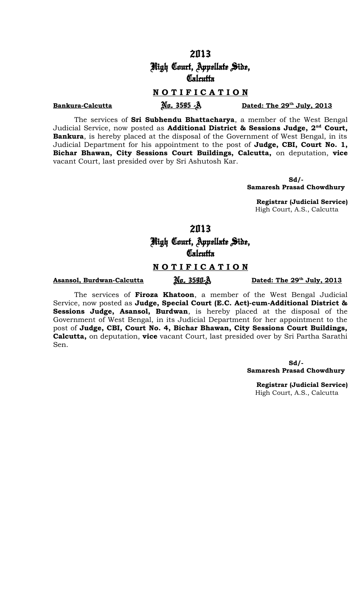High Court, Appellate Side, **Calcutta** 

# **N O T I F I C A T I O N**

#### **Bankura-Calcutta Endingle 2015**

The services of **Sri Subhendu Bhattacharya**, a member of the West Bengal Judicial Service, now posted as **Additional District & Sessions Judge, 2nd Court, Bankura**, is hereby placed at the disposal of the Government of West Bengal, in its Judicial Department for his appointment to the post of **Judge, CBI, Court No. 1, Bichar Bhawan, City Sessions Court Buildings, Calcutta,** on deputation, **vice** vacant Court, last presided over by Sri Ashutosh Kar.

> **Sd/- Samaresh Prasad Chowdhury**

 **Registrar (Judicial Service)** High Court, A.S., Calcutta

2013

# High Court, Appellate Side, **Calcutta**

#### **N O T I F I C A T I O N**

# **Asansol, Burdwan-Calcutta**  $\overline{\mathbb{M}}$ u. 3590-A

### The services of **Firoza Khatoon**, a member of the West Bengal Judicial Service, now posted as **Judge, Special Court (E.C. Act)-cum-Additional District & Sessions Judge, Asansol, Burdwan**, is hereby placed at the disposal of the Government of West Bengal, in its Judicial Department for her appointment to the post of **Judge, CBI, Court No. 4, Bichar Bhawan, City Sessions Court Buildings, Calcutta,** on deputation, **vice** vacant Court, last presided over by Sri Partha Sarathi Sen.

 **Sd/- Samaresh Prasad Chowdhury**

Dated: The 29<sup>th</sup> July, 2013

 **Registrar (Judicial Service)** High Court, A.S., Calcutta

Dated: The 29<sup>th</sup> July, 2013

# 2013